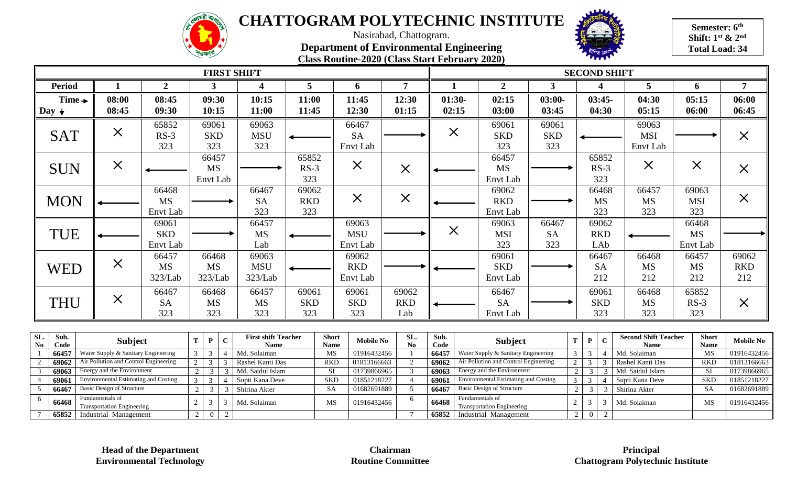



**Semester: 6th Shift: 1st & 2nd Total Load: 34**

Nasirabad, Chattogram. **Department of Environmental Engineering Class Routine-2020 (Class Start February 2020)**

|                                                                                                |                                                                              |                                 |                                  |                                           |                     | <b>FIRST SHIFT</b>                  |                            |                               |                                        |                                |                |                   |                                                                              |                             |                                  | <b>SECOND SHIFT</b>                        |                             |                                       |                                |                            |
|------------------------------------------------------------------------------------------------|------------------------------------------------------------------------------|---------------------------------|----------------------------------|-------------------------------------------|---------------------|-------------------------------------|----------------------------|-------------------------------|----------------------------------------|--------------------------------|----------------|-------------------|------------------------------------------------------------------------------|-----------------------------|----------------------------------|--------------------------------------------|-----------------------------|---------------------------------------|--------------------------------|----------------------------|
| <b>Period</b>                                                                                  |                                                                              | $\overline{2}$                  |                                  | 3                                         |                     |                                     | 5                          |                               | 6                                      | 7                              |                |                   | $\overline{2}$                                                               | 3                           |                                  |                                            |                             | 5                                     | 6                              | 7                          |
| Time $\rightarrow$<br>Day $\downarrow$                                                         | 08:00<br>08:45                                                               | 08:45<br>09:30                  |                                  | 09:30<br>10:15                            |                     | 10:15<br>11:00                      | 11:00<br>11:45             |                               | 11:45<br>12:30                         | 12:30<br>01:15                 |                | $01:30-$<br>02:15 | 02:15<br>03:00                                                               | $03:00-$<br>03:45           |                                  | $03:45-$<br>04:30                          |                             | 04:30<br>05:15                        | 05:15<br>06:00                 | 06:00<br>06:45             |
| <b>SAT</b>                                                                                     | $\times$                                                                     | 65852<br>$RS-3$<br>323          |                                  | 69061<br><b>SKD</b><br>323                |                     | 69063<br><b>MSU</b><br>323          |                            |                               | 66467<br><b>SA</b><br>Envt Lab         |                                |                | $\times$          | 69061<br><b>SKD</b><br>323                                                   | 69061<br><b>SKD</b><br>323  |                                  |                                            |                             | 69063<br><b>MSI</b><br>Envt Lab       |                                | $\times$                   |
| <b>SUN</b>                                                                                     | $\times$                                                                     |                                 |                                  | 66457<br><b>MS</b><br>Envt Lab            |                     |                                     | 65852<br>$RS-3$<br>323     |                               | $\times$                               | $\times$                       |                |                   | 66457<br><b>MS</b><br>Envt Lab                                               |                             |                                  | 65852<br>$RS-3$<br>323                     |                             | $\times$                              | $\times$                       | $\times$                   |
| <b>MON</b>                                                                                     |                                                                              | 66468<br><b>MS</b><br>Envt Lab  |                                  |                                           |                     | 66467<br><b>SA</b><br>323           | 69062<br><b>RKD</b><br>323 |                               | $\times$                               | $\times$                       |                |                   | 69062<br><b>RKD</b><br>Envt Lab                                              |                             |                                  | 66468<br><b>MS</b><br>323                  |                             | 66457<br><b>MS</b><br>323             | 69063<br><b>MSI</b><br>323     | $\times$                   |
| <b>TUE</b>                                                                                     |                                                                              | 69061<br><b>SKD</b><br>Envt Lab |                                  |                                           |                     | 66457<br><b>MS</b><br>Lab           |                            |                               | 69063<br><b>MSU</b><br><b>Envt Lab</b> |                                |                | $\times$          | 69063<br><b>MSI</b><br>323                                                   | 66467<br><b>SA</b><br>323   |                                  | 69062<br><b>RKD</b><br>LAb                 |                             |                                       | 66468<br><b>MS</b><br>Envt Lab |                            |
| <b>WED</b>                                                                                     | $\times$                                                                     | 66457<br><b>MS</b><br>323/Lab   |                                  | 66468<br><b>MS</b><br>323/Lab             |                     | 69063<br><b>MSU</b><br>323/Lab      |                            |                               | 69062<br><b>RKD</b><br><b>Envt Lab</b> |                                |                |                   | 69061<br><b>SKD</b><br>Envt Lab                                              |                             |                                  | 66467<br><b>SA</b><br>212                  |                             | 66468<br><b>MS</b><br>212             | 66457<br><b>MS</b><br>212      | 69062<br><b>RKD</b><br>212 |
| <b>THU</b>                                                                                     | $\times$                                                                     | 66467<br><b>SA</b><br>323       |                                  | 66468<br><b>MS</b><br>323                 |                     | 66457<br><b>MS</b><br>323           | 69061<br><b>SKD</b><br>323 |                               | 69061<br><b>SKD</b><br>323             | 69062<br><b>RKD</b><br>Lab     |                |                   | 66467<br><b>SA</b><br>Envt Lab                                               |                             |                                  | 69061<br><b>SKD</b><br>323                 |                             | 66468<br><b>MS</b><br>323             | 65852<br>$RS-3$<br>323         | $\times$                   |
| Sub.<br>SL.<br>$\mathbf T$<br>$\mathbf{P}$<br><b>Subject</b><br>$\mathbf{N}\mathbf{o}$<br>Code |                                                                              |                                 | $\mathbf C$                      | <b>First shift Teacher</b><br><b>Name</b> |                     | <b>Short</b><br><b>Name</b>         | <b>Mobile No</b>           | SL.<br>$\mathbf{N}\mathbf{0}$ | Sub.<br>Code                           | <b>Subject</b>                 |                |                   | T                                                                            | $\mathbf{P}$<br>$\mathbf C$ |                                  | <b>Second Shift Teacher</b><br><b>Name</b> | <b>Short</b><br><b>Name</b> | <b>Mobile No</b>                      |                                |                            |
| 66457<br>2<br>69062                                                                            | Water Supply & Sanitary Engineering<br>Air Pollution and Control Engineering |                                 | $\mathfrak{Z}$<br>$\overline{2}$ | $\overline{3}$<br>$\overline{3}$          | $\overline{4}$<br>3 | Md. Solaiman<br>Rashel Kanti Das    |                            | MS<br><b>RKD</b>              | 01916432456<br>01813166663             | 2                              | 66457<br>69062 |                   | Water Supply & Sanitary Engineering<br>Air Pollution and Control Engineering |                             | 3 <sup>1</sup><br>$\overline{2}$ | 3<br>Δ<br>3<br>3                           |                             | Md. Solaiman<br>Rashel Kanti Das      | MS<br><b>RKD</b>               | 01916432456<br>01813166663 |
| $\overline{3}$<br>69063<br>69061<br>$\overline{4}$                                             | Energy and the Environment<br><b>Environmental Estimating and Costing</b>    |                                 | $\overline{2}$<br>$\mathcal{E}$  | $\overline{3}$<br>$\mathcal{E}$           | 3<br>$\overline{4}$ | Md. Saidul Islam<br>Supti Kana Deve |                            | SI<br><b>SKD</b>              | 01739866965<br>01851218227             | $\mathbf{3}$<br>$\overline{4}$ | 69063<br>69061 |                   | Energy and the Environment<br><b>Environmental Estimating and Costing</b>    |                             | $\overline{2}$                   | $\overline{3}$<br>3<br>$3 \mid 3$          |                             | Md. Saidul Islam<br>4 Supti Kana Deve | SI<br><b>SKD</b>               | 01739866965<br>01851218227 |

Fundamentals of<br>Transportation Engineering  $2 \mid 3 \mid 3 \mid$  Md. Solaiman MS 01916432456 6

6

**<sup>66468</sup>** Fundamentals of

7 **65852** Industrial Management 2 0 2 7 **65852** Industrial Management 2 0 2

5 **66467** Basic Design of Structure 2 3 3 Shirina Akter 8A 01682691889 5 **66467** Basic Design of Structure 2 3 3 Shirina Akter 8A 01682691889

**66468** Fundamentals of

Fundamentals of<br>Transportation Engineering 2 3 3 Md. Solaiman MS 01916432456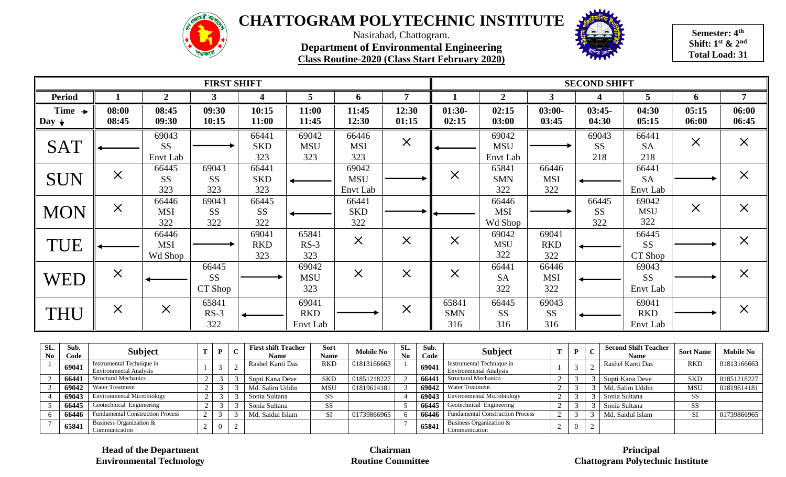



**Semester: 4th Shift: 1st & 2nd Total Load: 31**

Nasirabad, Chattogram. **Department of Environmental Engineering Class Routine-2020 (Class Start February 2020)**

|                                        |                      |                    | <b>FIRST SHIFT</b> |                            |                     |                     |                         | <b>SECOND SHIFT</b> |                      |                   |                    |                             |                |                |          |  |  |
|----------------------------------------|----------------------|--------------------|--------------------|----------------------------|---------------------|---------------------|-------------------------|---------------------|----------------------|-------------------|--------------------|-----------------------------|----------------|----------------|----------|--|--|
| <b>Period</b>                          |                      | $\overline{2}$     | 3                  |                            | 5                   | 6                   |                         |                     | $\mathbf{2}$         | 3                 | $\boldsymbol{4}$   | 5                           | 6              |                |          |  |  |
| Time $\rightarrow$<br>Day $\downarrow$ | 08:00<br>08:45       | 08:45<br>09:30     | 09:30<br>10:15     | 10:15<br>11:00             | 11:00<br>11:45      | 11:45<br>12:30      | 12:30<br>01:15          | $01:30-$<br>02:15   | 02:15<br>03:00       | $03:00-$<br>03:45 | $03:45-$<br>04:30  | 04:30<br>05:15              | 05:15<br>06:00 | 06:00<br>06:45 |          |  |  |
|                                        |                      |                    |                    |                            |                     |                     |                         |                     |                      |                   |                    |                             |                |                |          |  |  |
| <b>SAT</b>                             |                      | 69043<br><b>SS</b> |                    | 66441<br><b>SKD</b>        | 69042<br><b>MSU</b> | 66446<br><b>MSI</b> | $\times$                |                     | 69042<br><b>MSU</b>  |                   | 69043<br><b>SS</b> | 66441<br><b>SA</b>          | $\times$       | $\times$       |          |  |  |
|                                        |                      | Envt Lab           |                    | 323                        | 323                 | 323                 |                         |                     | Envt Lab             |                   | 218                | 218                         |                |                |          |  |  |
|                                        |                      | 66445              | 69043              | 66441                      |                     | 69042               |                         |                     | 65841                | 66446             |                    | 66441                       |                |                |          |  |  |
| <b>SUN</b>                             | $\times$             | <b>SS</b>          | <b>SS</b>          | <b>SKD</b>                 |                     | <b>MSU</b>          |                         |                     | $\times$             | <b>SMN</b>        | <b>MSI</b>         |                             | <b>SA</b>      |                | $\times$ |  |  |
|                                        |                      | 323                | 323                | 323                        |                     | Envt Lab            |                         |                     | 322                  | 322               |                    | Envt Lab                    |                |                |          |  |  |
|                                        |                      | 66446              | 69043              | 66445                      |                     | 66441               |                         |                     | 66446                |                   | 66445              | 69042                       |                |                |          |  |  |
| <b>MON</b>                             | $\times$             | <b>MSI</b>         | <b>SS</b>          | <b>SS</b>                  |                     | <b>SKD</b>          |                         |                     | <b>MSI</b>           |                   | <b>SS</b>          | <b>MSU</b>                  | $\times$       | $\times$       |          |  |  |
|                                        |                      | 322                | 322                | 322                        |                     | 322                 |                         |                     | Wd Shop              |                   | 322                | 322                         |                |                |          |  |  |
|                                        |                      | 66446              |                    | 69041                      | 65841               |                     |                         |                     | 69042                | 69041             |                    | 66445                       |                |                |          |  |  |
| TUE                                    |                      | <b>MSI</b>         |                    | <b>RKD</b>                 | $RS-3$              | $\times$            | $\times$                |                     | $\times$             | <b>MSU</b>        | <b>RKD</b>         |                             | <b>SS</b>      |                | $\times$ |  |  |
|                                        |                      | Wd Shop            |                    | 323                        | 323                 |                     |                         |                     | 322                  | 322               |                    | CT Shop                     |                |                |          |  |  |
|                                        |                      |                    | 66445              |                            | 69042               |                     |                         |                     | 66441                | 66446             |                    | 69043                       |                |                |          |  |  |
| <b>WED</b>                             | $\times$             |                    | <b>SS</b>          |                            | <b>MSU</b>          | $\times$            | $\times$                | $\times$            | <b>SA</b>            | <b>MSI</b>        |                    | <b>SS</b>                   |                | $\times$       |          |  |  |
|                                        |                      |                    | CT Shop            |                            | 323                 |                     |                         |                     | 322                  | 322               |                    | Envt Lab                    |                |                |          |  |  |
|                                        |                      |                    | 65841              |                            | 69041               |                     |                         | 65841               | 66445                | 69043             |                    | 69041                       |                |                |          |  |  |
| <b>THU</b>                             | $\times$             | $\times$           | $RS-3$             |                            | <b>RKD</b>          |                     | $\times$                | <b>SMN</b>          | <b>SS</b>            | <b>SS</b>         |                    | <b>RKD</b>                  |                | $\times$       |          |  |  |
|                                        |                      |                    | 322                |                            | Envt Lab            |                     |                         | 316                 | 316                  | 316               |                    | Envt Lab                    |                |                |          |  |  |
| $SL_{\bullet}$<br>Sub.                 | $\sim$ $\sim$ $\sim$ |                    |                    | <b>First shift Teacher</b> | <b>Sort</b>         |                     | SL <sub>2</sub><br>Sub. |                     | $\sim$ $\sim$ $\sim$ |                   |                    | <b>Second Shift Teacher</b> |                |                |          |  |  |

| SL.<br>No. | Sub.<br>Code | <b>Subject</b>                                             |  | <b>First shift Teacher</b><br><b>Name</b> | <b>Sort</b><br><b>Name</b> | <b>Mobile No</b> | SL.<br>No | Sub.<br>Code | <b>Subject</b>                                             | D | <b>Second Shift Teacher</b><br><b>Name</b> | <b>Sort Name</b> | <b>Mobile No</b> |
|------------|--------------|------------------------------------------------------------|--|-------------------------------------------|----------------------------|------------------|-----------|--------------|------------------------------------------------------------|---|--------------------------------------------|------------------|------------------|
|            | 69041        | Instrumental Technique in<br><b>Environmental Analysis</b> |  | Rashel Kanti Das                          | <b>RKD</b>                 | 01813166663      |           | 69041        | Instrumental Technique in<br><b>Environmental Analysis</b> |   | Rashel Kanti Das                           | <b>RKD</b>       | 01813166663      |
|            | 6644         | <b>Structural Mechanics</b>                                |  | Supti Kana Deve                           | <b>SKD</b>                 | 01851218227      |           | 66441        | <b>Structural Mechanics</b>                                |   | Supti Kana Deve                            | <b>SKD</b>       | 01851218227      |
|            | 69042        | <b>Water Treatment</b>                                     |  | Md. Salim Uddin                           | <b>MSU</b>                 | 01819614181      |           | 69042        | <b>Water Treatment</b>                                     |   | Md. Salim Uddin                            | <b>MSU</b>       | 01819614181      |
|            |              | <b>Environmental Microbiology</b>                          |  | Sonia Sultana                             | SS                         |                  |           | 69043        | <b>Environmental Microbiology</b>                          |   | Sonia Sultana                              | <b>SS</b>        |                  |
|            | 66445        | Geotechnical Engineering                                   |  | Sonia Sultana                             | <b>SS</b>                  |                  |           | 66445        | Geotechnical Engineering                                   |   | Sonia Sultana                              | SS.              |                  |
|            | 66446        | <b>Fundamental Construction Process</b>                    |  | Md. Saidul Islam                          | <b>SI</b>                  | 01739866965      |           | 66446        | <b>Fundamental Construction Process</b>                    |   | Md. Saidul Islam                           | <b>SI</b>        | 01739866965      |
|            | 65841        | Business Organization &<br>Communication                   |  |                                           |                            |                  |           | 65841        | Business Organization &<br>Communication                   |   |                                            |                  |                  |

**Head of the Department Environmental Technology**

**Chairman Routine Committee** 

#### **Principal Chattogram Polytechnic Institute**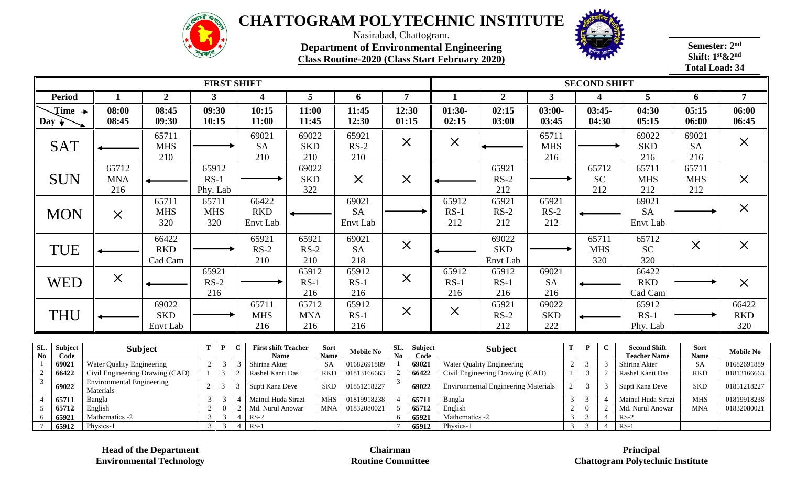



**Semester: 2nd Shift: 1st&2nd Total Load: 34**

Nasirabad, Chattogram. **Department of Environmental Engineering Class Routine-2020 (Class Start February 2020)**

|                                                  |                                                                                  |                                 |                             |                                  |                                  | <b>FIRST SHIFT</b>                        |                            |                         |                                |                               |                 | <b>SECOND SHIFT</b>    |                                  |                                                                               |                |                                  |                            |                                            |                            |                            |  |
|--------------------------------------------------|----------------------------------------------------------------------------------|---------------------------------|-----------------------------|----------------------------------|----------------------------------|-------------------------------------------|----------------------------|-------------------------|--------------------------------|-------------------------------|-----------------|------------------------|----------------------------------|-------------------------------------------------------------------------------|----------------|----------------------------------|----------------------------|--------------------------------------------|----------------------------|----------------------------|--|
| <b>Period</b>                                    | -1                                                                               | $\overline{2}$                  | $\mathbf{3}$                |                                  |                                  | 4                                         | 5                          |                         | 6                              |                               | 7               |                        | $\overline{2}$                   | $\mathbf{3}$                                                                  |                |                                  | $\boldsymbol{\Delta}$      | 5                                          | 6                          | $\overline{7}$             |  |
| $\text{Time}$ $\rightarrow$<br>$\log$ +          | 08:00<br>08:45                                                                   | 08:45<br>09:30                  | 09:30<br>10:15              |                                  |                                  | 10:15<br>11:00                            | 11:00<br>11:45             |                         | 11:45<br>12:30                 | 01:15                         | 12:30           | $01:30-$<br>02:15      | 02:15<br>03:00                   | $03:00-$<br>03:45                                                             |                |                                  | $03:45-$<br>04:30          | 04:30<br>05:15                             | 05:15<br>06:00             | 06:00<br>06:45             |  |
| <b>SAT</b>                                       |                                                                                  | 65711<br><b>MHS</b><br>210      |                             |                                  |                                  | 69021<br><b>SA</b><br>210                 | 69022<br><b>SKD</b><br>210 |                         | 65921<br>$RS-2$<br>210         |                               | $\times$        | $\times$               |                                  | 65711<br><b>MHS</b><br>216                                                    |                |                                  |                            | 69022<br><b>SKD</b><br>216                 | 69021<br><b>SA</b><br>216  | $\times$                   |  |
| <b>SUN</b>                                       | 65712<br><b>MNA</b><br>216                                                       |                                 | 65912<br>$RS-1$<br>Phy. Lab |                                  |                                  |                                           | 69022<br><b>SKD</b><br>322 |                         | $\times$                       |                               | $\times$        |                        | 65921<br>$RS-2$<br>212           |                                                                               |                |                                  | 65712<br><b>SC</b><br>212  | 65711<br><b>MHS</b><br>212                 | 65711<br><b>MHS</b><br>212 | $\times$                   |  |
| <b>MON</b>                                       | $\times$                                                                         | 65711<br><b>MHS</b><br>320      | 65711<br><b>MHS</b><br>320  |                                  |                                  | 66422<br><b>RKD</b><br>Envt Lab           |                            |                         | 69021<br><b>SA</b><br>Envt Lab |                               |                 | 65912<br>$RS-1$<br>212 | 65921<br>$RS-2$<br>212           | 65921<br>$RS-2$<br>212                                                        |                |                                  |                            | 69021<br><b>SA</b><br>Envt Lab             |                            | $\times$                   |  |
| TUE                                              |                                                                                  | 66422<br><b>RKD</b><br>Cad Cam  |                             |                                  |                                  | 65921<br>$RS-2$<br>210                    | 65921<br>$RS-2$<br>210     |                         | 69021<br><b>SA</b><br>218      |                               | $\times$        |                        | 69022<br><b>SKD</b><br>Envt Lab  |                                                                               |                |                                  | 65711<br><b>MHS</b><br>320 | 65712<br><b>SC</b><br>320                  | $\times$                   | $\times$                   |  |
| WED                                              | $\times$                                                                         |                                 | 65921<br>$RS-2$<br>216      |                                  |                                  |                                           | 65912<br>$RS-1$<br>216     |                         | 65912<br>$RS-1$<br>216         |                               | $\times$        | 65912<br>$RS-1$<br>216 | 65912<br>$RS-1$<br>216           | 69021<br><b>SA</b><br>216                                                     |                |                                  |                            | 66422<br><b>RKD</b><br>Cad Cam             |                            | $\times$                   |  |
| THU                                              |                                                                                  | 69022<br><b>SKD</b><br>Envt Lab |                             |                                  |                                  | 65711<br><b>MHS</b><br>216                | 65712<br><b>MNA</b><br>216 |                         | 65912<br>$RS-1$<br>216         |                               | $\times$        | $\times$               | 65921<br>$RS-2$<br>212           | 69022<br><b>SKD</b><br>222                                                    |                |                                  |                            | 65912<br>$RS-1$<br>Phy. Lab                |                            | 66422<br><b>RKD</b><br>320 |  |
| SL.<br>Subject<br>$\mathbf{N}\mathbf{0}$<br>Code | <b>Subject</b>                                                                   |                                 | T                           | $\mathbf{P}$                     | C                                | <b>First shift Teacher</b><br><b>Name</b> |                            | Sort<br><b>Name</b>     | <b>Mobile No</b>               | SL.<br>$\mathbf{N}\mathbf{0}$ | Subject<br>Code |                        | <b>Subject</b>                   |                                                                               | T              | $\mathbf{P}$                     | $\mathbf C$                | <b>Second Shift</b><br><b>Teacher Name</b> | Sort<br><b>Name</b>        | <b>Mobile No</b>           |  |
| 69021<br>66422<br>$\overline{2}$                 | <b>Water Quality Engineering</b>                                                 |                                 | 2                           | $\overline{3}$<br>$\mathfrak{Z}$ | $\overline{3}$<br>$\overline{2}$ | Shirina Akter<br>Rashel Kanti Das         |                            | <b>SA</b><br><b>RKD</b> | 01682691889<br>01813166663     | $\overline{2}$                | 69021<br>66422  |                        | <b>Water Quality Engineering</b> |                                                                               | 2              | $\overline{3}$<br>3              | $\overline{3}$<br>2        | Shirina Akter<br>Rashel Kanti Das          | <b>SA</b><br><b>RKD</b>    | 01682691889<br>01813166663 |  |
| 3<br>69022                                       | Civil Engineering Drawing (CAD)<br><b>Environmental Engineering</b><br>Materials |                                 | $\overline{2}$              | $\mathfrak{Z}$                   | 3                                |                                           | Supti Kana Deve            |                         | 01851218227                    | $\mathcal{R}$                 | 69022           |                        |                                  | Civil Engineering Drawing (CAD)<br><b>Environmental Engineering Materials</b> |                | $\overline{3}$                   | $\overline{3}$             | Supti Kana Deve                            | <b>SKD</b>                 | 01851218227                |  |
| 6571                                             | Bangla                                                                           |                                 | $\mathfrak{Z}$              | 3                                | $\Delta$                         | Mainul Huda Sirazi                        |                            | <b>MHS</b>              | 01819918238                    | $\overline{A}$                | 65711           | Bangla                 |                                  |                                                                               | $\mathfrak{Z}$ | $\overline{3}$                   | $\overline{4}$             | Mainul Huda Sirazi                         | <b>MHS</b>                 | 01819918238                |  |
| 65712<br>5<br>65921<br>6                         | English<br>Mathematics -2                                                        |                                 | 2<br>$\mathfrak{Z}$         | $\Omega$<br>$\mathfrak{Z}$       | 2<br>$\overline{4}$              | Md. Nurul Anowar<br>$RS-2$                |                            | <b>MNA</b>              | 01832080021                    | 5<br>6                        | 65712<br>65921  |                        | English<br>Mathematics -2        |                                                                               | 2<br>3         | $\overline{0}$<br>$\overline{3}$ | 2<br>$\overline{4}$        | Md. Nurul Anowar<br>$RS-2$                 | <b>MNA</b>                 | 01832080021                |  |
| 65912                                            | Physics-1                                                                        |                                 | $\mathcal{E}$               | $\overline{3}$                   | $4 \mid$                         | $RS-1$                                    |                            |                         |                                |                               | 65912           | Physics-1              |                                  |                                                                               | 3              | 3                                | $\overline{4}$             | $RS-1$                                     |                            |                            |  |

**Head of the Department Environmental Technology**

**Chairman Routine Committee** 

**Principal Chattogram Polytechnic Institute**